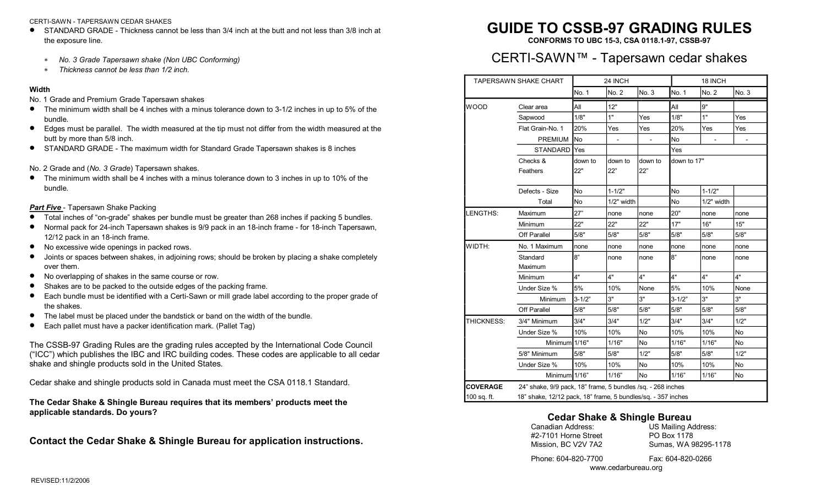### CERTI-SAWN - TAPERSAWN CEDAR SHAKES

- · STANDARD GRADE Thickness cannot be less than 3/4 inch at the butt and not less than 3/8 inch at the exposure line.
	- \* *No. 3 Grade Tapersawn shake (Non UBC Conforming)*
	- \* *Thickness cannot be less than 1/2 inch.*

### **Width**

- No. 1 Grade and Premium Grade Tapersawn shakes
- $\bullet$  The minimum width shall be 4 inches with a minus tolerance down to 3-1/2 inches in up to 5% of the
- bundle.<br>■ Edges must be parallel. The width measured at the tip must not differ from the width measured at the butt by more than 5/8 inch.
- · STANDARD GRADE The maximum width for Standard Grade Tapersawn shakes is 8 inches
- No. 2 Grade and (*No. 3 Grade*) Tapersawn shakes.
- The minimum width shall be 4 inches with a minus tolerance down to 3 inches in up to 10% of the bundle.

### **Part Five** - Tapersawn Shake Packing

- Total inches of "on-grade" shakes per bundle must be greater than 268 inches if packing 5 bundles.
- Normal pack for 24-inch Tapersawn shakes is 9/9 pack in an 18-inch frame for 18-inch Tapersawn, 12/12 pack in an 18-inch frame.<br>● No excessive wide openings in packed rows.
- 
- · Joints or spaces between shakes, in adjoining rows; should be broken by placing a shake completely over them.<br>
● No overlapping of shakes in the same course or row.<br>
● Shakes are to be packed to the outside edges of the packing frame.<br>
● Each bundle must be identified with a Certi-Sawn or mill grade label according to
- 
- 
- the shakes.
- The label must be placed under the bandstick or band on the width of the bundle.<br>• Each pallet must have a packer identification mark. (Pallet Tag)
- 

The CSSB-97 Grading Rules are the grading rules accepted by the International Code Council ("ICC") which publishes the IBC and IRC building codes. These codes are applicable to all cedar shake and shingle products sold in the United States.

Cedar shake and shingle products sold in Canada must meet the CSA 0118.1 Standard.

**The Cedar Shake & Shingle Bureau requires that its members' products meet the applicable standards. Do yours?**

**Contact the Cedar Shake & Shingle Bureau for application instructions.** 

# **GUIDE TO CSSB-97 GRADING RULES**

**CONFORMS TO UBC 153, CSA 0118.197, CSSB97**

# CERTI-SAWN™ - Tapersawn cedar shakes

| <b>TAPERSAWN SHAKE CHART</b>   |                                                                                                                             | 24 INCH        |                |                | 18 INCH        |            |            |
|--------------------------------|-----------------------------------------------------------------------------------------------------------------------------|----------------|----------------|----------------|----------------|------------|------------|
|                                |                                                                                                                             | No. 1          | No. 2          | No. 3          | No. 1          | No. 2      | No. 3      |
| <b>WOOD</b>                    | Clear area                                                                                                                  | All            | 12"            |                | All            | 9"         |            |
|                                | Sapwood                                                                                                                     | 1/8"           | 1"             | Yes            | 1/8"           | 1"         | <b>Yes</b> |
|                                | Flat Grain-No. 1                                                                                                            | 20%            | Yes            | <b>Yes</b>     | 20%            | Yes        | Yes        |
|                                | <b>PREMIUM</b>                                                                                                              | <b>No</b>      |                |                | <b>No</b>      |            |            |
|                                | <b>STANDARD</b>                                                                                                             | Yes            |                |                | Yes            |            |            |
|                                | Checks &<br>Feathers                                                                                                        | down to<br>22" | down to<br>22" | down to<br>22" | down to 17"    |            |            |
|                                | Defects - Size                                                                                                              | No             | $1 - 1/2"$     |                | <b>No</b>      | $1 - 1/2"$ |            |
|                                | Total                                                                                                                       | N <sub>o</sub> | 1/2" width     |                | N <sub>o</sub> | 1/2" width |            |
| LENGTHS:                       | Maximum                                                                                                                     | 27"            | none           | none           | 20"            | none       | none       |
|                                | Minimum                                                                                                                     | 22"            | 22"            | 22"            | 17"            | 16"        | 15"        |
|                                | Off Parallel                                                                                                                | 5/8"           | 5/8"           | 5/8"           | 5/8"           | 5/8"       | 5/8"       |
| WIDTH:                         | No. 1 Maximum                                                                                                               | none           | none           | none           | none           | none       | none       |
|                                | Standard<br>Maximum                                                                                                         | 8"             | none           | none           | 8"             | none       | none       |
|                                | Minimum                                                                                                                     | 4"             | 4"             | 4"             | 4"             | 4"         | 4"         |
|                                | Under Size %                                                                                                                | 5%             | 10%            | None           | 5%             | 10%        | None       |
|                                | Minimum                                                                                                                     | $3 - 1/2"$     | 3"             | 3"             | $3 - 1/2"$     | 3"         | 3"         |
|                                | <b>Off Parallel</b>                                                                                                         | 5/8"           | 5/8"           | 5/8"           | 5/8"           | 5/8"       | 5/8"       |
| THICKNESS:                     | 3/4" Minimum                                                                                                                | 3/4"           | 3/4"           | 1/2"           | 3/4"           | 3/4"       | 1/2"       |
|                                | Under Size %                                                                                                                | 10%            | 10%            | No             | 10%            | 10%        | <b>No</b>  |
|                                | Minimum 1/16"                                                                                                               |                | 1/16"          | No.            | 1/16"          | 1/16"      | No.        |
|                                | 5/8" Minimum                                                                                                                | 5/8"           | 5/8"           | 1/2"           | 5/8"           | 5/8"       | 1/2"       |
|                                | Under Size %                                                                                                                | 10%            | 10%            | No             | 10%            | 10%        | No         |
|                                | Minimum 1/16"                                                                                                               |                | 1/16"          | No             | 1/16"          | 1/16"      | No         |
| <b>COVERAGE</b><br>100 sq. ft. | 24" shake, 9/9 pack, 18" frame, 5 bundles /sq. - 268 inches<br>18" shake, 12/12 pack, 18" frame, 5 bundles/sq. - 357 inches |                |                |                |                |            |            |

# **Cedar Shake & Shingle Bureau**

| Canadian Address:<br>#2-7101 Horne Street | US Mailing Address:<br>PO Box 1178 |
|-------------------------------------------|------------------------------------|
| Mission, BC V2V 7A2                       | Sumas, WA 98295-1178               |
| Phone: 604-820-7700                       | Fax: 604-820-0266                  |

www.cedarbureau.org